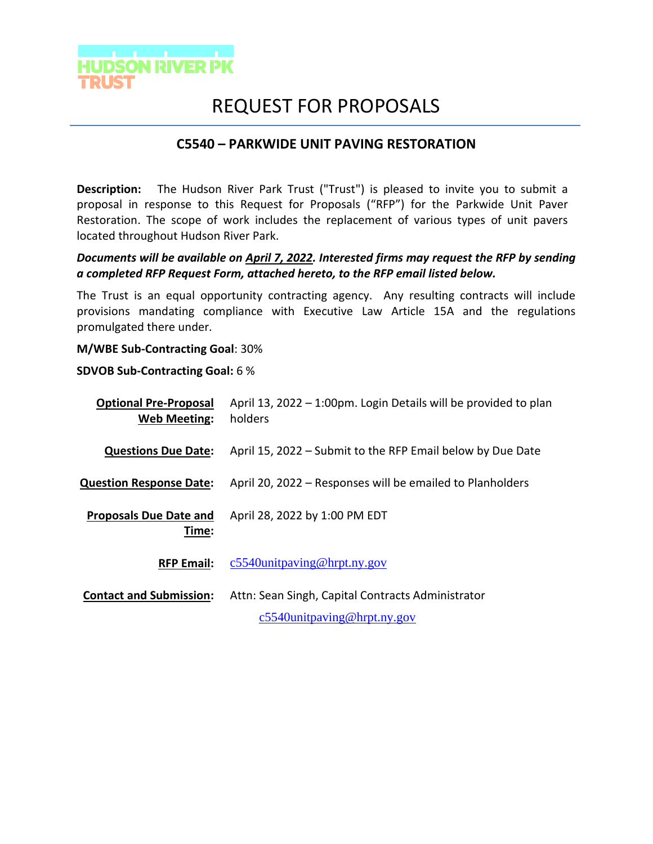

# REQUEST FOR PROPOSALS

## **C5540 – PARKWIDE UNIT PAVING RESTORATION**

**Description:** The Hudson River Park Trust ("Trust") is pleased to invite you to submit a proposal in response to this Request for Proposals ("RFP") for the Parkwide Unit Paver Restoration. The scope of work includes the replacement of various types of unit pavers located throughout Hudson River Park.

## *Documents will be available on April 7, 2022. Interested firms may request the RFP by sending a completed RFP Request Form, attached hereto, to the RFP email listed below.*

The Trust is an equal opportunity contracting agency. Any resulting contracts will include provisions mandating compliance with Executive Law Article 15A and the regulations promulgated there under.

**M/WBE Sub-Contracting Goal**: 30%

**SDVOB Sub-Contracting Goal:** 6 %

| <b>Optional Pre-Proposal</b><br><b>Web Meeting:</b> | April 13, 2022 - 1:00pm. Login Details will be provided to plan<br>holders          |
|-----------------------------------------------------|-------------------------------------------------------------------------------------|
| <b>Questions Due Date:</b>                          | April 15, 2022 – Submit to the RFP Email below by Due Date                          |
| <b>Question Response Date:</b>                      | April 20, 2022 – Responses will be emailed to Planholders                           |
| <b>Proposals Due Date and</b><br>Time:              | April 28, 2022 by 1:00 PM EDT                                                       |
| <b>RFP Email:</b>                                   | $c5540$ unitpaving@hrpt.ny.gov                                                      |
| <b>Contact and Submission:</b>                      | Attn: Sean Singh, Capital Contracts Administrator<br>$c5540$ unitpaving@hrpt.ny.gov |